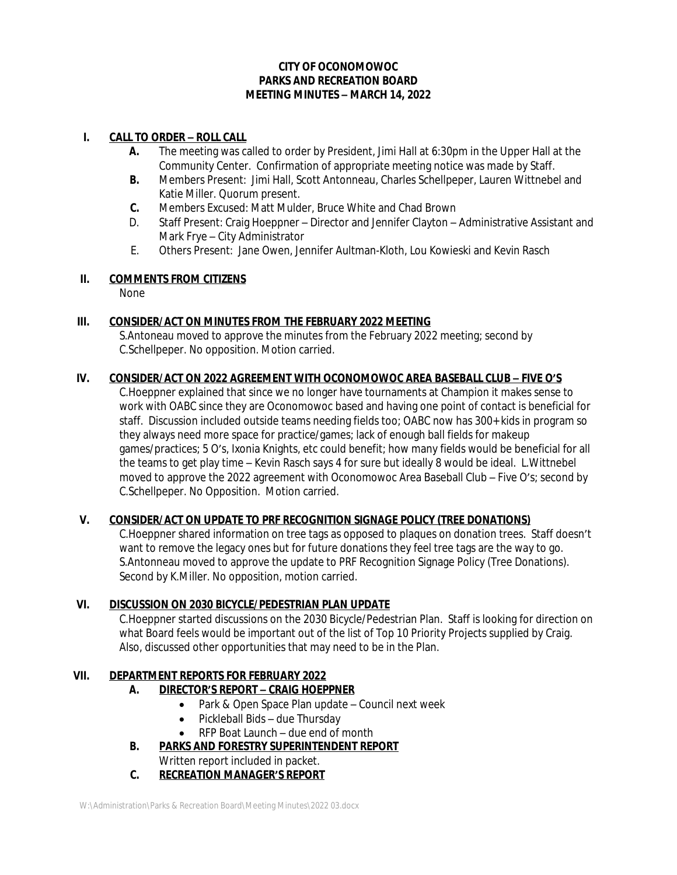#### **CITY OF OCONOMOWOC PARKS AND RECREATION BOARD MEETING MINUTES – MARCH 14, 2022**

#### **I. CALL TO ORDER – ROLL CALL**

- **A.** The meeting was called to order by President, Jimi Hall at 6:30pm in the Upper Hall at the Community Center. Confirmation of appropriate meeting notice was made by Staff.
- **B.** Members Present: Jimi Hall, Scott Antonneau, Charles Schellpeper, Lauren Wittnebel and Katie Miller. Quorum present.
- **C.** Members Excused: Matt Mulder, Bruce White and Chad Brown
- D. Staff Present: Craig Hoeppner Director and Jennifer Clayton Administrative Assistant and Mark Frye – City Administrator
- E. Others Present: Jane Owen, Jennifer Aultman-Kloth, Lou Kowieski and Kevin Rasch

#### **II. COMMENTS FROM CITIZENS**

None

# **III. CONSIDER/ACT ON MINUTES FROM THE FEBRUARY 2022 MEETING**

S.Antoneau moved to approve the minutes from the February 2022 meeting; second by C.Schellpeper. No opposition. Motion carried.

# **IV. CONSIDER/ACT ON 2022 AGREEMENT WITH OCONOMOWOC AREA BASEBALL CLUB – FIVE O'S**

C.Hoeppner explained that since we no longer have tournaments at Champion it makes sense to work with OABC since they are Oconomowoc based and having one point of contact is beneficial for staff. Discussion included outside teams needing fields too; OABC now has 300+ kids in program so they always need more space for practice/games; lack of enough ball fields for makeup games/practices; 5 O's, Ixonia Knights, etc could benefit; how many fields would be beneficial for all the teams to get play time – Kevin Rasch says 4 for sure but ideally 8 would be ideal. L.Wittnebel moved to approve the 2022 agreement with Oconomowoc Area Baseball Club – Five O's; second by C.Schellpeper. No Opposition. Motion carried.

# **V. CONSIDER/ACT ON UPDATE TO PRF RECOGNITION SIGNAGE POLICY (TREE DONATIONS)**

C.Hoeppner shared information on tree tags as opposed to plaques on donation trees. Staff doesn't want to remove the legacy ones but for future donations they feel tree tags are the way to go. S.Antonneau moved to approve the update to PRF Recognition Signage Policy (Tree Donations). Second by K.Miller. No opposition, motion carried.

# **VI. DISCUSSION ON 2030 BICYCLE/PEDESTRIAN PLAN UPDATE**

C.Hoeppner started discussions on the 2030 Bicycle/Pedestrian Plan. Staff is looking for direction on what Board feels would be important out of the list of Top 10 Priority Projects supplied by Craig. Also, discussed other opportunities that may need to be in the Plan.

# **VII. DEPARTMENT REPORTS FOR FEBRUARY 2022**

# **A. DIRECTOR'S REPORT – CRAIG HOEPPNER**

- Park & Open Space Plan update Council next week
- Pickleball Bids due Thursday
- RFP Boat Launch due end of month
- **B. PARKS AND FORESTRY SUPERINTENDENT REPORT**
	- Written report included in packet.
- **C. RECREATION MANAGER'S REPORT**

W:\Administration\Parks & Recreation Board\Meeting Minutes\2022 03.docx